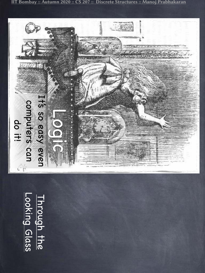IIT Bombay :: Autumn 2020 :: CS 207 :: Discrete Structures :: Manoj Prabhakaran

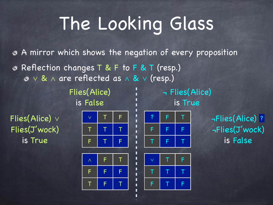П п

п п

П п П

П П  $\blacksquare$ 

П п

П П

П

П

A mirror which shows the negation of every proposition Reflection changes T & F to F & T (resp.) ∨ & ∧ are reflected as ∧ & ∨ (resp.)

Flies(Alice) ¬ Flies(Alice) is False is True

Flies(Alice) ∨ Flies(J'wock) is True





∨ T F

 $\tau$  |  $\tau$  |  $\tau$ 

F | T | F

? F | T | →Flies(Alice) ? ¬Flies(J'wock) is False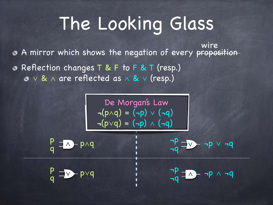A mirror which shows the negation of every proposition Reflection changes T & F to F & T (resp.) wire

∨ & ∧ are reflected as ∧ & ∨ (resp.)

 $\mathbf{r}$  $\neg(p \land q) = (\neg p) \lor (\neg q)$  $\neg(p \lor q) = (\neg p) \land (\neg q)$ De Morgan's Law

п

$$
\frac{p}{q} = \lambda - p \wedge q
$$

$$
p \wedge q
$$
 
$$
\frac{1}{1}
$$
 
$$
\frac{\neg p}{\neg q}
$$
 
$$
\frac{\neg p}{\neg q}
$$

¬p ¬p ∧ ¬q

¬q

∨ q p p∨q ∧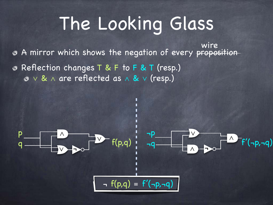A mirror which shows the negation of every proposition Reflection changes T & F to F & T (resp.) wire

∨ & ∧ are reflected as ∧ & ∨ (resp.)

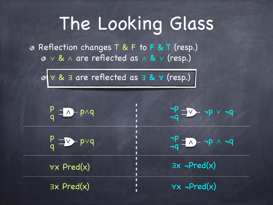Reflection changes T & F to F & T (resp.) ∨ & ∧ are reflected as ∧ & ∨ (resp.)

| ⊗ v & ∃ are reflected as ∃ & v (resp.) |                                           |
|----------------------------------------|-------------------------------------------|
| $P = \lambda - p \wedge q$             | $\frac{1}{1}P - \frac{1}{1}P \vee \neg P$ |
| $P_{q} = \sqrt{P}$                     | $\frac{-p}{-q} = \frac{-p}{-q}$           |
| $\forall x$ Pred(x)                    | $\exists x \neg Pred(x)$                  |
| $\exists x$ Pred $(x)$                 | $\forall x \neg Pred(x)$                  |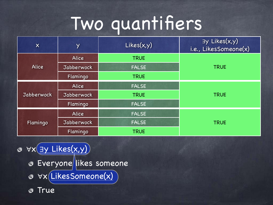| $\boldsymbol{\mathsf{X}}$ | Y            | Likes(x,y)   | By Likes(x,y)<br>i.e., LikesSomeone(x) |
|---------------------------|--------------|--------------|----------------------------------------|
|                           | <b>Alice</b> | <b>TRUE</b>  |                                        |
| <b>Alice</b>              | Jabberwock   | <b>FALSE</b> | <b>TRUE</b>                            |
|                           | Flamingo     | <b>TRUE</b>  |                                        |
|                           | <b>Alice</b> | <b>FALSE</b> |                                        |
| Jabberwock                | Jabberwock   | <b>TRUE</b>  | <b>TRUE</b>                            |
|                           | Flamingo     | <b>FALSE</b> |                                        |
|                           | Alice        | <b>FALSE</b> |                                        |
| Flamingo                  | Jabberwock   | <b>FALSE</b> | <b>TRUE</b>                            |
|                           | Flamingo     | <b>TRUE</b>  |                                        |

∀x ∃y Likes(x,y) **& Everyone likes someone** ∀x LikesSomeone(x) True  $\bullet$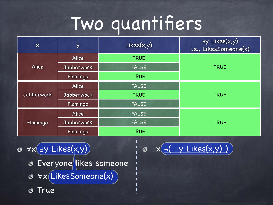| $\boldsymbol{X}$  | Y            | Likes(x,y)   | By Likes(x,y)<br>i.e., LikesSomeone(x) |
|-------------------|--------------|--------------|----------------------------------------|
|                   | Alice        | <b>TRUE</b>  |                                        |
| <b>Alice</b>      | Jabberwock   | <b>FALSE</b> | <b>TRUE</b>                            |
|                   | Flamingo     | <b>TRUE</b>  |                                        |
|                   | <b>Alice</b> | <b>FALSE</b> |                                        |
| <b>Jabberwock</b> | Jabberwock   | <b>TRUE</b>  | <b>TRUE</b>                            |
|                   | Flamingo     | <b>FALSE</b> |                                        |
|                   | Alice        | <b>FALSE</b> |                                        |
| Flamingo          | Jabberwock   | <b>FALSE</b> | <b>TRUE</b>                            |
|                   | Flamingo     | <b>TRUE</b>  |                                        |

Π

П

 $\blacksquare$ П

П П

ı

∀x ∃y Likes(x,y) ∃x ¬( ∃y Likes(x,y) ) **& Everyone likes someone** ∀x LikesSomeone(x) True  $\bullet$ 

$$
\circ \exists x \big(\underline{\neg (\exists y \text{ Likes}(x, y))}\big)
$$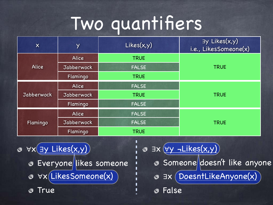| $\boldsymbol{X}$  | Y          | Likes(x,y)   | By Likes(x,y)<br>i.e., LikesSomeone(x) |
|-------------------|------------|--------------|----------------------------------------|
|                   | Alice      | <b>TRUE</b>  |                                        |
| <b>Alice</b>      | Jabberwock | <b>FALSE</b> | <b>TRUE</b>                            |
|                   | Flamingo   | <b>TRUE</b>  |                                        |
|                   | Alice      | <b>FALSE</b> |                                        |
| <b>Jabberwock</b> | Jabberwock | <b>TRUE</b>  | <b>TRUE</b>                            |
|                   | Flamingo   | <b>FALSE</b> |                                        |
|                   | Alice      | <b>FALSE</b> |                                        |
| Flamingo          | Jabberwock | <b>FALSE</b> | <b>TRUE</b>                            |
|                   | Flamingo   | <b>TRUE</b>  |                                        |

П

П

ı П

П П п

П

∀x ∃y Likes(x,y) **& Everyone likes someone** ∀x LikesSomeone(x) True Ø

∃x ∀y ¬Likes(x,y) Someone doesn't like anyone ∃x DoesntLikeAnyone(x) False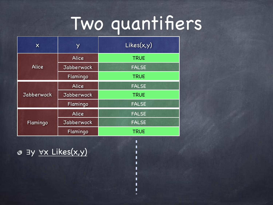П п

П П

П п

П П П

П

| $\boldsymbol{\mathsf{X}}$ | Y                 | Likes(x,y)   |  |
|---------------------------|-------------------|--------------|--|
|                           | <b>Alice</b>      | <b>TRUE</b>  |  |
| <b>Alice</b>              | <b>Jabberwock</b> | <b>FALSE</b> |  |
|                           | Flamingo          | <b>TRUE</b>  |  |
| <b>Jabberwock</b>         | <b>Alice</b>      | <b>FALSE</b> |  |
|                           | <b>Jabberwock</b> | <b>TRUE</b>  |  |
|                           | Flamingo          | <b>FALSE</b> |  |
| Flamingo                  | <b>Alice</b>      | <b>FALSE</b> |  |
|                           | Jabberwock        | <b>FALSE</b> |  |
|                           | Flamingo          | <b>TRUE</b>  |  |

∃y ∀x Likes(x,y)